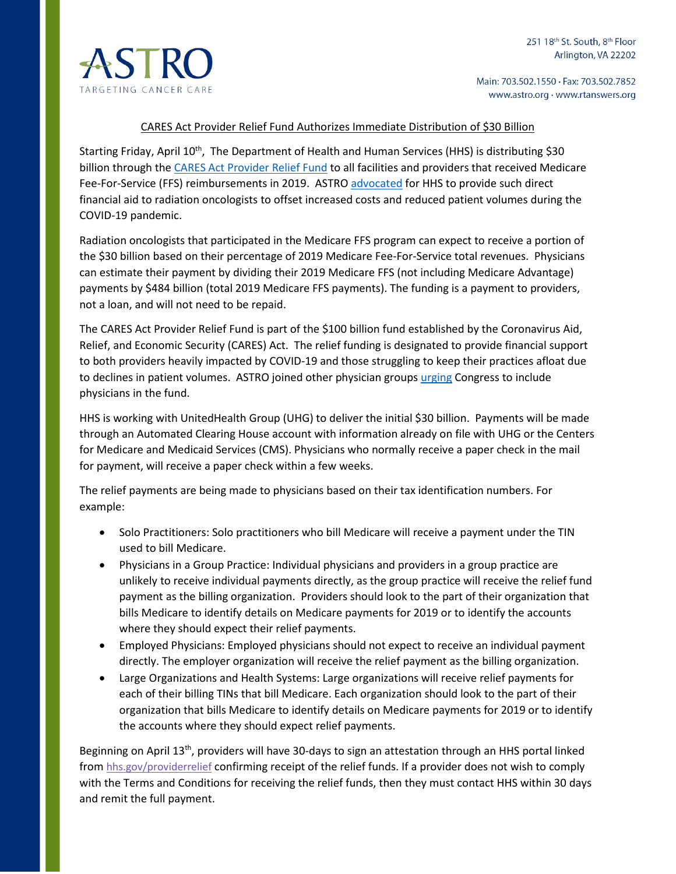

Main: 703.502.1550 · Fax: 703.502.7852 www.astro.org · www.rtanswers.org

## CARES Act Provider Relief Fund Authorizes Immediate Distribution of \$30 Billion

Starting Friday, April 10<sup>th</sup>, The Department of Health and Human Services (HHS) is distributing \$30 billion through th[e CARES Act Provider Relief Fund](https://www.hhs.gov/about/news/2020/04/10/hhs-to-begin-immediate-delivery-of-initial-30-billion-of-cares-act-provider-relief-funding.html) to all facilities and providers that received Medicare Fee-For-Service (FFS) reimbursements in 2019. ASTRO [advocated](https://www.astro.org/News-and-Publications/What-is-Happening-in-Washington/2020/ASTRO-urges-emergency-funding-for-physicians) for HHS to provide such direct financial aid to radiation oncologists to offset increased costs and reduced patient volumes during the COVID-19 pandemic.

Radiation oncologists that participated in the Medicare FFS program can expect to receive a portion of the \$30 billion based on their percentage of 2019 Medicare Fee-For-Service total revenues. Physicians can estimate their payment by dividing their 2019 Medicare FFS (not including Medicare Advantage) payments by \$484 billion (total 2019 Medicare FFS payments). The funding is a payment to providers, not a loan, and will not need to be repaid.

The CARES Act Provider Relief Fund is part of the \$100 billion fund established by the Coronavirus Aid, Relief, and Economic Security (CARES) Act. The relief funding is designated to provide financial support to both providers heavily impacted by COVID-19 and those struggling to keep their practices afloat due to declines in patient volumes. ASTRO joined other physician groups [urging](https://www.astro.org/News-and-Publications/What-is-Happening-in-Washington/2020/ASTRO-calls-for-federal-physician-support) Congress to include physicians in the fund.

HHS is working with UnitedHealth Group (UHG) to deliver the initial \$30 billion. Payments will be made through an Automated Clearing House account with information already on file with UHG or the Centers for Medicare and Medicaid Services (CMS). Physicians who normally receive a paper check in the mail for payment, will receive a paper check within a few weeks.

The relief payments are being made to physicians based on their tax identification numbers. For example:

- Solo Practitioners: Solo practitioners who bill Medicare will receive a payment under the TIN used to bill Medicare.
- Physicians in a Group Practice: Individual physicians and providers in a group practice are unlikely to receive individual payments directly, as the group practice will receive the relief fund payment as the billing organization. Providers should look to the part of their organization that bills Medicare to identify details on Medicare payments for 2019 or to identify the accounts where they should expect their relief payments.
- Employed Physicians: Employed physicians should not expect to receive an individual payment directly. The employer organization will receive the relief payment as the billing organization.
- Large Organizations and Health Systems: Large organizations will receive relief payments for each of their billing TINs that bill Medicare. Each organization should look to the part of their organization that bills Medicare to identify details on Medicare payments for 2019 or to identify the accounts where they should expect relief payments.

Beginning on April 13th, providers will have 30-days to sign an attestation through an HHS portal linked from [hhs.gov/providerrelief](http://www.hhs.gov/providerrelief) confirming receipt of the relief funds. If a provider does not wish to comply with the Terms and Conditions for receiving the relief funds, then they must contact HHS within 30 days and remit the full payment.